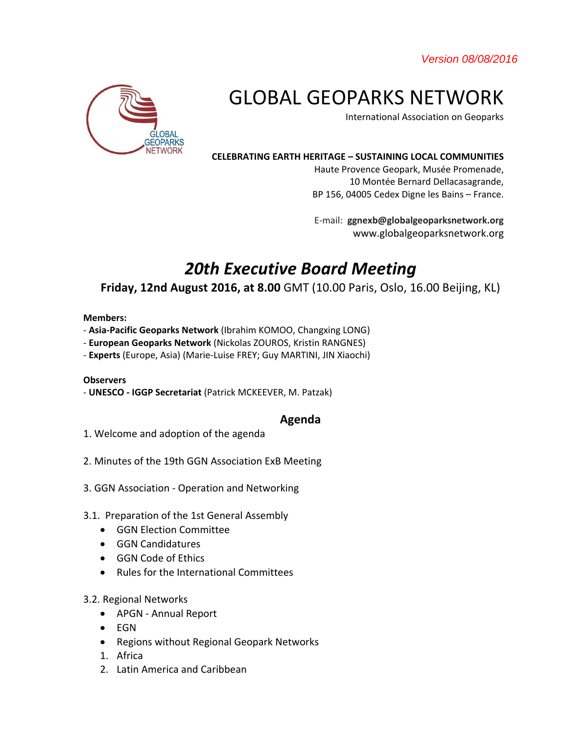*Version 08/08/2016* 



# GLOBAL GEOPARKS NETWORK

International Association on Geoparks

#### **CELEBRATING EARTH HERITAGE – SUSTAINING LOCAL COMMUNITIES**

Haute Provence Geopark, Musée Promenade, 10 Montée Bernard Dellacasagrande, BP 156, 04005 Cedex Digne les Bains – France.

E-mail: **ggnexb@globalgeoparksnetwork.org** www.globalgeoparksnetwork.org

# *20th Executive Board Meeting*

# **Friday, 12nd August 2016, at 8.00** GMT (10.00 Paris, Oslo, 16.00 Beijing, KL)

#### **Members:**

- **Asia-Pacific Geoparks Network** (Ibrahim KOMOO, Changxing LONG)
- **European Geoparks Network** (Nickolas ZOUROS, Kristin RANGNES)
- **Experts** (Europe, Asia) (Marie-Luise FREY; Guy MARTINI, JIN Xiaochi)

### **Observers**

- **UNESCO - IGGP Secretariat** (Patrick MCKEEVER, M. Patzak)

## **Agenda**

- 1. Welcome and adoption of the agenda
- 2. Minutes of the 19th GGN Association ExB Meeting
- 3. GGN Association Operation and Networking
- 3.1. Preparation of the 1st General Assembly
	- GGN Election Committee
	- GGN Candidatures
	- GGN Code of Ethics
	- Rules for the International Committees
- 3.2. Regional Networks
	- APGN Annual Report
	- EGN
	- Regions without Regional Geopark Networks
	- 1. Africa
	- 2. Latin America and Caribbean